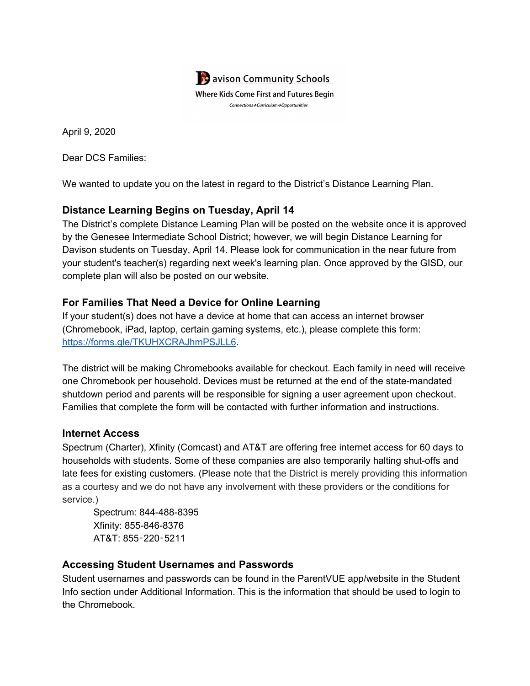

April 9, 2020

Dear DCS Families:

We wanted to update you on the latest in regard to the District's Distance Learning Plan.

# **Distance Learning Begins on Tuesday, April 14**

The District's complete Distance Learning Plan will be posted on the website once it is approved by the Genesee Intermediate School District; however, we will begin Distance Learning for Davison students on Tuesday, April 14. Please look for communication in the near future from your student's teacher(s) regarding next week's learning plan. Once approved by the GISD, our complete plan will also be posted on our website.

## **For Families That Need a Device for Online Learning**

If your student(s) does not have a device at home that can access an internet browser (Chromebook, iPad, laptop, certain gaming systems, etc.), please complete this form: [https://forms.gle/TKUHXCRAJhmPSJLL6.](https://forms.gle/TKUHXCRAJhmPSJLL6)

The district will be making Chromebooks available for checkout. Each family in need will receive one Chromebook per household. Devices must be returned at the end of the state-mandated shutdown period and parents will be responsible for signing a user agreement upon checkout. Families that complete the form will be contacted with further information and instructions.

### **Internet Access**

Spectrum (Charter), Xfinity (Comcast) and AT&T are offering free internet access for 60 days to households with students. Some of these companies are also temporarily halting shut-offs and late fees for existing customers. (Please note that the District is merely providing this information as a courtesy and we do not have any involvement with these providers or the conditions for service.)

Spectrum: 844-488-8395 Xfinity: 855-846-8376 AT&T: 855‑220‑5211

### **Accessing Student Usernames and Passwords**

Student usernames and passwords can be found in the ParentVUE app/website in the Student Info section under Additional Information. This is the information that should be used to login to the Chromebook.